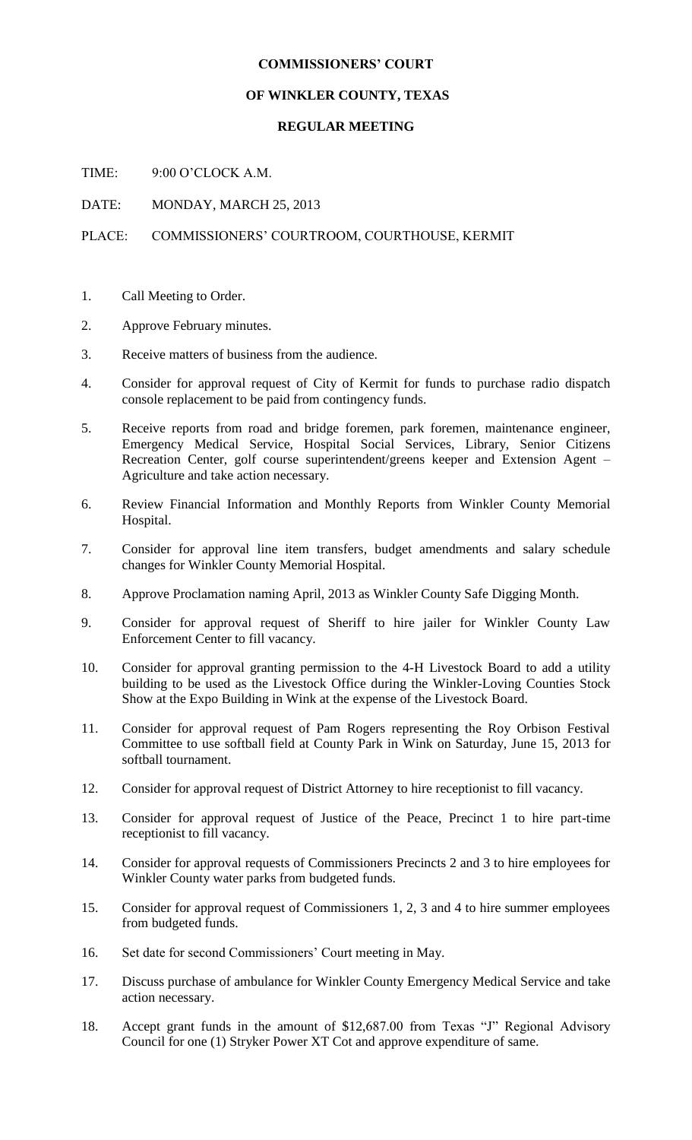## **COMMISSIONERS' COURT**

## **OF WINKLER COUNTY, TEXAS**

## **REGULAR MEETING**

TIME: 9:00 O'CLOCK A.M.

DATE: MONDAY, MARCH 25, 2013

PLACE: COMMISSIONERS' COURTROOM, COURTHOUSE, KERMIT

- 1. Call Meeting to Order.
- 2. Approve February minutes.
- 3. Receive matters of business from the audience.
- 4. Consider for approval request of City of Kermit for funds to purchase radio dispatch console replacement to be paid from contingency funds.
- 5. Receive reports from road and bridge foremen, park foremen, maintenance engineer, Emergency Medical Service, Hospital Social Services, Library, Senior Citizens Recreation Center, golf course superintendent/greens keeper and Extension Agent – Agriculture and take action necessary.
- 6. Review Financial Information and Monthly Reports from Winkler County Memorial Hospital.
- 7. Consider for approval line item transfers, budget amendments and salary schedule changes for Winkler County Memorial Hospital.
- 8. Approve Proclamation naming April, 2013 as Winkler County Safe Digging Month.
- 9. Consider for approval request of Sheriff to hire jailer for Winkler County Law Enforcement Center to fill vacancy.
- 10. Consider for approval granting permission to the 4-H Livestock Board to add a utility building to be used as the Livestock Office during the Winkler-Loving Counties Stock Show at the Expo Building in Wink at the expense of the Livestock Board.
- 11. Consider for approval request of Pam Rogers representing the Roy Orbison Festival Committee to use softball field at County Park in Wink on Saturday, June 15, 2013 for softball tournament.
- 12. Consider for approval request of District Attorney to hire receptionist to fill vacancy.
- 13. Consider for approval request of Justice of the Peace, Precinct 1 to hire part-time receptionist to fill vacancy.
- 14. Consider for approval requests of Commissioners Precincts 2 and 3 to hire employees for Winkler County water parks from budgeted funds.
- 15. Consider for approval request of Commissioners 1, 2, 3 and 4 to hire summer employees from budgeted funds.
- 16. Set date for second Commissioners' Court meeting in May.
- 17. Discuss purchase of ambulance for Winkler County Emergency Medical Service and take action necessary.
- 18. Accept grant funds in the amount of \$12,687.00 from Texas "J" Regional Advisory Council for one (1) Stryker Power XT Cot and approve expenditure of same.